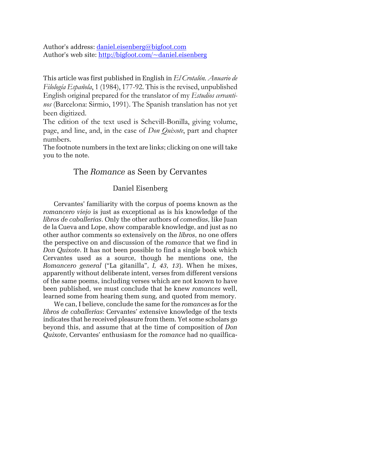Author's address: daniel.eisenberg@bigfoot.com Author's web site: http://bigfoot.com/~daniel.eisenberg

This article was first published in English in *El Crotalón. Anuario de Filología Española*, 1 (1984), 177-92. This is the revised, unpublished English original prepared for the translator of my *Estudios cervantinos* (Barcelona: Sirmio, 1991). The Spanish translation has not yet been digitized.

The edition of the text used is Schevill-Bonilla, giving volume, page, and line, and, in the case of *Don Quixote*, part and chapter numbers.

The footnote numbers in the text are links; clicking on one will take you to the note.

## The *Romance* as Seen by Cervantes

## Daniel Eisenberg

Cervantes' familiarity with the corpus of poems known as the *romancero viejo* is just as exceptional as is his knowledge of the *libros de caballerías*. Only the other authors of *comedias*, like Juan de la Cueva and Lope, show comparable knowledge, and just as no other author comments so extensively on the *libros*, no one offers the perspective on and discussion of the *romance* that we find in *Don Quixote*. It has not been possible to find a single book which Cervantes used as a source, though he mentions one, the *Romancero general* ("La gitanilla", *I, 43, 13*). When he mixes, apparently without deliberate intent, verses from different versions of the same poems, including verses which are not known to have been published, we must conclude that he knew *romances* well, learned some from hearing them sung, and quoted from memory.

We can, I believe, conclude the same for the *romances* as for the *libros de caballerías*: Cervantes' extensive knowledge of the texts indicates that he received pleasure from them. Yet some scholars go beyond this, and assume that at the time of composition of *Don Quixote*, Cervantes' enthusiasm for the *romance* had no quailfica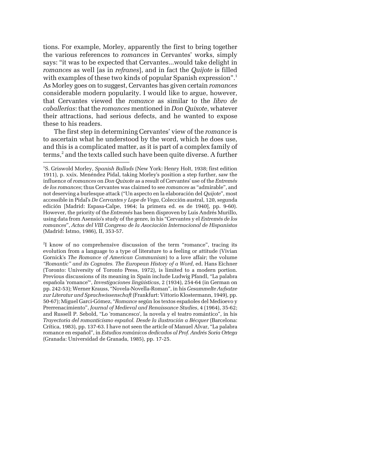tions. For example, Morley, apparently the first to bring together the various references to *romances* in Cervantes' works, simply says: "it was to be expected that Cervantes...would take delight in *romances* as well [as in *refranes*], and in fact the *Quijote* is filled with examples of these two kinds of popular Spanish expression".<sup>[1](#page-1-0)</sup> As Morley goes on to suggest, Cervantes has given certain *romances* considerable modern popularity. I would like to argue, however, that Cervantes viewed the *romance* as similar to the *libro de caballerías*: that the *romances* mentioned in *Don Quixote*, whatever their attractions, had serious defects, and he wanted to expose these to his readers.

The first step in determining Cervantes' view of the *romance* is to ascertain what he understood by the word, which he does use, and this is a complicated matter, as it is part of a complex family of terms,<sup>[2](#page-1-1)</sup> and the texts called such have been quite diverse. A further

j

<span id="page-1-1"></span>2 I know of no comprehensive discussion of the term "romance", tracing its evolution from a language to a type of literature to a feeling or attitude (Vivian Gornick's *The Romance of American Communism*) to a love affair; the volume *"Romantic" and its Cognates. The European History of a Word*, ed. Hans Eichner (Toronto: University of Toronto Press, 1972), is limited to a modern portion. Previous discussions of its meaning in Spain include Ludwig Pfandl, "La palabra española 'romance'", *Investigaciones lingüísticas*, 2 (1934), 254-64 (in German on pp. 242-53); Werner Krauss, "Novela-Novella-Roman", in his *Gesammelte Aufsatze zur Literatur und Sprachwissenschaft* (Frankfurt: Vittorio Klostermann, 1949), pp. 50-67); Miguel Garci-Gómez, "*Romance* según los textos españoles del Medioevo y Prerrenacimiento", *Journal of Medieval and Renaissance Studies*, 4 (1964), 35-62; and Russell P. Sebold, "Lo 'romancesco', la novela y el teatro romántico", in his *Trayectoria del romanticismo español. Desde la ilustración a Bécquer* (Barcelona: Crítica, 1983), pp. 137-63. I have not seen the article of Manuel Alvar, "La palabra romance en español", in *Estudios románicos dedicados al Prof. Andrés Soria Ortega* (Granada: Universidad de Granada, 1985), pp. 17-25.

<span id="page-1-0"></span><sup>1</sup> S. Griswold Morley, *Spanish Ballads* (New York: Henry Holt, 1938; first edition 1911), p. xxix. Menéndez Pidal, taking Morley's position a step further, saw the influence of *romances* on *Don Quixote* as a result of Cervantes' use of the *Entremés de los romances*; thus Cervantes was claimed to see *romances* as "admirable", and not deserving a burlesque attack ("Un aspecto en la elaboración del *Quijote*", most accessible in Pidal's *De Cervantes y Lope de Vega*, Colección austral, 120, segunda edición [Madrid: Espasa-Calpe, 1964; la primera ed. es de 1940], pp. 9-60). However, the priority of the *Entremés* has been disproven by Luis Andrés Murillo, using data from Asensio's study of the genre, in his "Cervantes y el *Entremés de los romances*", *Actas del VIII Congreso de la Asociación Internacional de Hispanistas* (Madrid: Istmo, 1986), II, 353-57.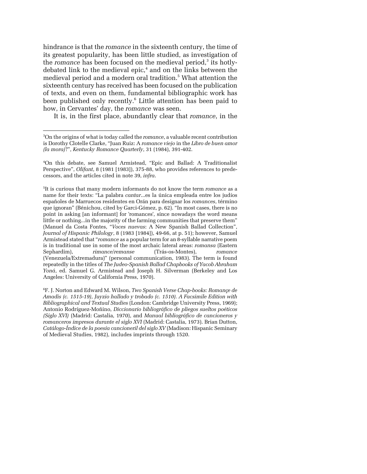hindrance is that the *romance* in the sixteenth century, the time of its greatest popularity, has been little studied, as investigation of the *romance* has been focused on the medieval period,<sup>3</sup> its hotly-debated link to the medieval epic,<sup>[4](#page-2-1)</sup> and on the links between the medieval period and a modern oral tradition[.5](#page-2-2) What attention the sixteenth century has received has been focused on the publication of texts, and even on them, fundamental bibliographic work has been published only recently.<sup>[6](#page-2-3)</sup> Little attention has been paid to how, in Cervantes' day, the *romance* was seen.

It is, in the first place, abundantly clear that *romance*, in the

<span id="page-2-0"></span><sup>3</sup> On the origins of what is today called the *romance*, a valuable recent contribution is Dorothy Clotelle Clarke, "Juan Ruiz: A *romance viejo* in the *Libro de buen amor (la mora)*?", *Kentucky Romance Quarterly*, 31 (1984), 391-402.

<span id="page-2-1"></span><sup>4</sup> On this debate, see Samuel Armistead, "Epic and Ballad: A Traditionalist Perspective", *Olifant*, 8 (1981 [1983]), 375-88, who provides references to predecessors, and the articles cited in note 39, *infra*.

<span id="page-2-2"></span><sup>5</sup> It is curious that many modern informants do not know the term *romance* as a name for their texts: "La palabra *cantar*...es la única empleada entre los judíos españoles de Marruecos residentes en Orán para designar los *romances*, término que ignoran" (Bénichou, cited by Garci-Gómez, p. 62). "In most cases, there is no point in asking [an informant] for 'romances', since nowadays the word means little or nothing...in the majority of the farming communities that preserve them" (Manuel da Costa Fontes, "*Voces nuevas*: A New Spanish Ballad Collection", *Journal of Hispanic Philology*, 8 (1983 [1984]), 49-66, at p. 51); however, Samuel Armistead stated that "*romance* as a popular term for an 8-syllable narrative poem is in traditional use in some of the most archaic lateral areas: *romansa* (Eastern Sephardim), *rimance*/*remanse* (Trás-os-Montes), *romance* (Venezuela/Extremadura)" (personal communication, 1983). The term is found repeatedly in the titles of *The Judeo-Spanish Ballad Chapbooks of Yacob Abraham Yoná*, ed. Samuel G. Armistead and Joseph H. Silverman (Berkeley and Los Angeles: University of California Press, 1970).

<span id="page-2-3"></span><sup>6</sup> F. J. Norton and Edward M. Wilson, *Two Spanish Verse Chap-books: Romançe de Amadis (c. 1515-19), Juyzio hallado y trobado (c. 1510). A Facsimile Edition with Bibliographical and Textual Studies* (London: Cambridge University Press, 1969); Antonio Rodríguez-Moñino, *Diccionario bibliográfico de pliegos sueltos poéticos (Siglo XVI)* (Madrid: Castalia, 1970), and *Manual bibliográfico de cancioneros y romanceros impresos durante el siglo XVI* (Madrid: Castalia, 1973). Brian Dutton, *Catálogo-Índice de la poesía cancioneril del siglo XV* (Madison: Hispanic Seminary of Medieval Studies, 1982), includes imprints through 1520.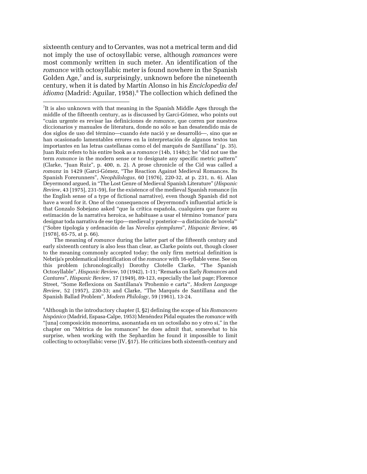<span id="page-3-1"></span>sixteenth century and to Cervantes, was not a metrical term and did not imply the use of octosyllabic verse, although *romances* were most commonly written in such meter. An identification of the *romance* with octosyllabic meter is found nowhere in the Spanish Golden Age,<sup>[7](#page-3-0)</sup> and is, surprisingly, unknown before the nineteenth century, when it is dated by Martín Alonso in his *Enciclopedia del*  idioma (Madrid: Aguilar, 1958).<sup>8</sup> The collection which defined the

-

The meaning of *romance* during the latter part of the fifteenth century and early sixteenth century is also less than clear, as Clarke points out, though closer to the meaning commonly accepted today; the only firm metrical definition is Nebrija's problematical identification of the *romance* with 16-syllable verse. See on this problem (chronologically) Dorothy Clotelle Clarke, "The Spanish Octosyllable", *Hispanic Review*, 10 (1942), 1-11; "Remarks on Early *Romances* and *Cantares*", *Hispanic Review*, 17 (1949), 89-123, especially the last page; Florence Street, "Some Reflexions on Santillana's 'Prohemio e carta'", *Modern Language Review*, 52 (1957), 230-33; and Clarke, "The Marqués de Santillana and the Spanish Ballad Problem", *Modern Philology*, 59 (1961), 13-24.

<sup>8</sup> Although in the introductory chapter (I, §2) defining the scope of his *Romancero hispánico* (Madrid, Espasa-Calpe, 1953) Menéndez Pidal equates the *romance* with "[una] composición monorrima, asonantada en un octosílabo no y otro sí," in the chapter on "Métrica de los romances" he does admit that, somewhat to his surprise, when working with the Sephardim he found it impossible to limit collecting to octosyllabic verse  $(IV, §17)$ . He criticizes both sixteenth-century and

<span id="page-3-0"></span><sup>7</sup> It is also unknown with that meaning in the Spanish Middle Ages through the middle of the fifteenth century, as is discussed by Garci-Gómez, who points out "cuán urgente es revisar las definiciones de *romance*, que corren por nuestros diccionarios y manuales de literatura, donde no sólo se han desatendido más de dos siglos de uso del término—cuando éste nació y se desarrolló—, sino que se han ocasionado lamentables errores en la interpretación de algunos textos tan importantes en las letras castellanas como el del marqués de Santillana" (p. 35). Juan Ruiz refers to his entire book as a *romance* (14b, 1148c); he "did not use the term *romance* in the modern sense or to designate any specific metric pattern" (Clarke, "Juan Ruiz", p. 400, n. 2). A prose chronicle of the Cid was called a *romanz* in 1429 (Garci-Gómez, "The Reaction Against Medieval Romances. Its Spanish Forerunners", *Neophilologus*, 60 [1976], 220-32, at p. 231, n. 6). Alan Deyermond argued, in "The Lost Genre of Medieval Spanish Literature" (*Hispanic Review*, 43 [1975], 231-59), for the existence of the medieval Spanish romance (in the English sense of a type of fictional narrative), even though Spanish did not have a word for it. One of the consequences of Deyermond's influential article is that Gonzalo Sobejano asked "que la crítica española, cualquiera que fuere su estimación de la narrativa heroica, se habituase a usar el término 'romance' para designar toda narrativa de ese tipo—medieval y posterior—a distinción de 'novela'" ("Sobre tipología y ordenación de las *Novelas ejemplares*", *Hispanic Review*, 46 [1978], 65-75, at p. 66).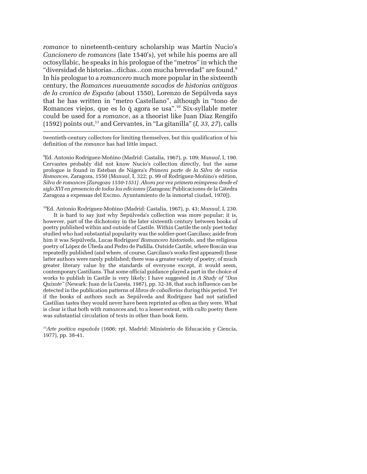*romance* to nineteenth-century scholarship was Martín Nucio's *Cancionero de romances* (late 1540's), yet while his poems are all octosyllabic, he speaks in his prologue of the "metros" in which the "diversidad de historias...dichas...con mucha brevedad" are found.[9](#page-4-0) In his prologue to a *romancero* much more popular in the sixteenth century, the *Romances nueuamente sacados de historias antiguas de la cronica de España* (about 1550), Lorenzo de Sepúlveda says that he has written in "metro Castellano", although in "tono de Romances viejos, que es lo q agora se usa".<sup>10</sup> Six-syllable meter could be used for a *romance*, as a theorist like Juan Díaz Rengifo (1592) points out,<sup>11</sup> and Cervantes, in "La gitanilla"  $(I, 33, 27)$ , calls

twentieth-century collectors for limiting themselves, but this qualification of his definition of the *romance* has had little impact.

j

<span id="page-4-0"></span>9 Ed. Antonio Rodríguez-Moñino (Madrid: Castalia, 1967), p. 109; *Manual*, I, 190. Cervantes probably did not know Nucio's collection directly, but the same prologue is found in Esteban de Nágera's *Primera parte de la Silva de varios Romances*, Zaragoza, 1550 (*Manual*, I, 322; p. 99 of Rodríguez-Moñino's edition, *Silva de romances [Zaragoza 1550-1551]. Ahora por vez primera reimpresa desde el siglo XVI en presencia de todas las ediciones* [Zaragoza: Publicaciones de la Cátedra Zaragoza a expensas del Excmo. Ayuntamiento de la inmortal ciudad, 1970]).

<span id="page-4-1"></span>10Ed. Antonio Rodríguez-Moñino (Madrid: Castalia, 1967), p. 43; *Manual*, I, 230.

It is hard to say just why Sepúlveda's collection was more popular; it is, however, part of the dichotomy in the later sixteenth century between books of poetry published within and outside of Castile. Within Castile the only poet today studied who had substantial popularity was the soldier-poet Garcilaso; aside from him it was Sepúlveda, Lucas Rodríguez' *Romancero historiado*, and the religious poetry of López de Úbeda and Pedro de Padilla. Outside Castile, where Boscán was repeatedly published (and where, of course, Garcilaso's works first appeared) these latter authors were rarely published; there was a greater variety of poetry, of much greater literary value by the standards of everyone except, it would seem, contemporary Castilians. That some official guidance played a part in the choice of works to publish in Castile is very likely; I have suggested in *A Study of "Don Quixote"* (Newark: Juan de la Cuesta, 1987), pp. 32-38, that such influence can be detected in the publication patterns of *libros de caballerías* during this period. Yet if the books of authors such as Sepúlveda and Rodríguez had not satisfied Castilian tastes they would never have been reprinted as often as they were. What is clear is that both with *romances* and, to a lesser extent, with *culto* poetry there was substantial circulation of texts in other than book form.

<span id="page-4-2"></span><sup>11</sup>*Arte poética española* (1606; rpt. Madrid: Ministerio de Educación y Ciencia, 1977), pp. 38-41.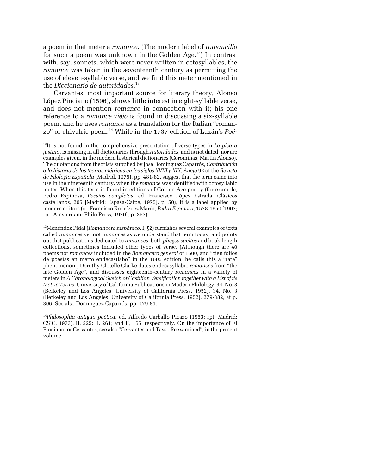a poem in that meter a *romance*. (The modern label of *romancillo* for such a poem was unknown in the Golden Age.<sup>12</sup>) In contrast with, say, sonnets, which were never written in octosyllables, the *romance* was taken in the seventeenth century as permitting the use of eleven-syllable verse, and we find this meter mentioned in the *Diccionario de autoridades*. [13](#page-5-1)

Cervantes' most important source for literary theory, Alonso López Pinciano (1596), shows little interest in eight-syllable verse, and does not mention *romance* in connection with it; his one reference to a *romance viejo* is found in discussing a six-syllable poem, and he uses *romance* as a translation for the Italian "romanzo" or chivalric poem[.14](#page-5-2) While in the 1737 edition of Luzán's *Poé-*

<span id="page-5-0"></span><sup>12</sup>It is not found in the comprehensive presentation of verse types in *La pícara justina*, is missing in all dictionaries through *Autoridades*, and is not dated, nor are examples given, in the modern historical dictionaries (Corominas, Martín Alonso). The quotations from theorists supplied by José Domínguez Caparrós, *Contribución a la historia de las teorías métricas en los siglos XVIII y XIX*, *Anejo* 92 of the *Revista de Filología Española* (Madrid, 1975), pp. 481-82, suggest that the term came into use in the nineteenth century, when the *romance* was identified with octosyllabic meter. When this term is found in editions of Golden Age poetry (for example, Pedro Espinosa, *Poesías completas*, ed. Francisco López Estrada, Clásicos castellanos, 205 [Madrid: Espasa-Calpe, 1975], p. 50), it is a label applied by modern editors (cf. Francisco Rodríguez Marín, *Pedro Espinosa*, 1578-1650 [1907; rpt. Amsterdam: Philo Press, 1970], p. 357).

<span id="page-5-1"></span><sup>&</sup>lt;sup>13</sup>Menéndez Pidal (*Romancero hispánico*, I, §2) furnishes several examples of texts called *romances* yet not *romances* as we understand that term today, and points out that publications dedicated to *romances*, both *pliegos sueltos* and book-length collections, sometimes included other types of verse. (Although there are 40 poems not *romances* included in the *Romancero general* of 1600, and "cien folios de poesías en metro endecasílabo" in the 1605 edition, he calls this a "rare" phenomenon.) Dorothy Clotelle Clarke dates endecasyllabic *romances* from "the late Golden Age", and discusses eighteenth-century *romances* in a variety of meters in *A Chronological Sketch of Castilian Versification together with a List of its Metric Terms*, University of California Publications in Modern Philology, 34, No. 3 (Berkeley and Los Angeles: University of California Press, 1952), 34, No. 3 (Berkeley and Los Angeles: University of California Press, 1952), 279-382, at p. 306. See also Domínguez Caparrós, pp. 479-81.

<span id="page-5-2"></span><sup>14</sup>*Philosophía antigua poética*, ed. Alfredo Carballo Picazo (1953; rpt. Madrid: CSIC, 1973), II, 225; II, 261; and II, 165, respectively. On the importance of El Pinciano for Cervantes, see also "Cervantes and Tasso Reexamined", in the present volume.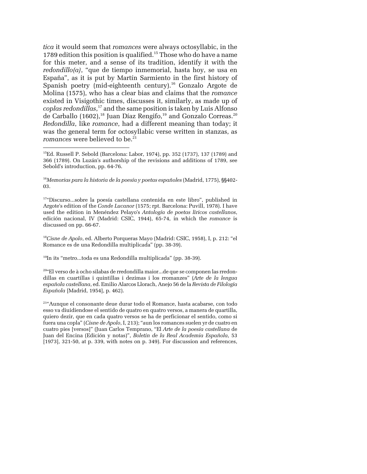<span id="page-6-6"></span>*tica* it would seem that *romances* were always octosyllabic, in the 1789 edition this position is qualified.<sup>15</sup> Those who do have a name for this meter, and a sense of its tradition, identify it with the *redondillo(a)*, "que de tiempo inmemorial, hasta hoy, se usa en España", as it is put by Martín Sarmiento in the first history of Spanish poetry (mid-eighteenth century).<sup>16</sup> Gonzalo Argote de Molina (1575), who has a clear bias and claims that the *romance* existed in Visigothic times, discusses it, similarly, as made up of *coplas redondillas*, [17](#page-6-2) and the same position is taken by Luis Alfonso de Carballo (1602),<sup>18</sup> Juan Díaz Rengifo,<sup>19</sup> and Gonzalo Correas.<sup>[20](#page-6-5)</sup> *Redondilla*, like *romance*, had a different meaning than today; it was the general term for octosyllabic verse written in stanzas, as *romances* were believed to be.<sup>21</sup>

-

<span id="page-6-1"></span><sup>16</sup> Memorias para la historia de la poesía y poetas españoles (Madrid, 1775), §§402-03.

<span id="page-6-2"></span>17"Discurso...sobre la poesía castellana contenida en este libro", published in Argote's edition of the *Conde Lucanor* (1575; rpt. Barcelona: Puvill, 1978). I have used the edition in Menéndez Pelayo's *Antología de poetas líricos castellanos*, edición nacional, IV (Madrid: CSIC, 1944), 65-74, in which the *romance* is discussed on pp. 66-67.

<span id="page-6-3"></span><sup>18</sup>*Cisne de Apolo*, ed. Alberto Porqueras Mayo (Madrid: CSIC, 1958), I, p. 212: "el Romance es de una Redondilla multiplicada" (pp. 38-39).

<span id="page-6-4"></span> $19$ In its "metro...toda es una Redondilla multiplicada" (pp. 38-39).

<span id="page-6-5"></span>20"El verso de à ocho silabas de rredondilla maior...de que se componen las rredondillas en cuartillas i quintillas i dezimas i los rromanzes" (*Arte de la lengua española castellana*, ed. Emilio Alarcos Llorach, Anejo 56 de la *Revista de Filología Española* [Madrid, 1954], p. 462).

21"Aunque el consonante deue durar todo el Romance, hasta acabarse, con todo esso va diuidiendose el sentido de quatro en quatro versos, a manera de quartilla, quiero dezir, que en cada quatro versos se ha de perficionar el sentido, como si fuera una copla" (*Cisne de Apolo*, I, 213); "aun los romances suelen yr de cuatro en cuatro pies [versos]" (Juan Carlos Temprano, "El *Arte de la poesía castellana* de Juan del Encina (Edición y notas)", *Boletín de la Real Academia Española*, 53 [1973], 321-50, at p. 339, with notes on p. 349). For discussion and references,

<span id="page-6-0"></span><sup>15</sup>Ed. Russell P. Sebold (Barcelona: Labor, 1974), pp. 352 (1737), 137 (1789) and 366 (1789). On Luzán's authorship of the revisions and additions of 1789, see Sebold's introduction, pp. 64-76.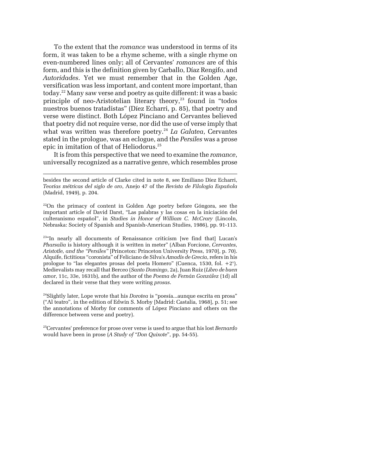To the extent that the *romance* was understood in terms of its form, it was taken to be a rhyme scheme, with a single rhyme on even-numbered lines only; all of Cervantes' *romances* are of this form, and this is the definition given by Carballo, Díaz Rengifo, and *Autoridades*. Yet we must remember that in the Golden Age, versification was less important, and content more important, than today.[22](#page-7-0) Many saw verse and poetry as quite different: it was a basic principle of neo-Aristotelian literary theory, $23$  found in "todos nuestros buenos tratadistas" (Díez Echarri, p. 85), that poetry and verse were distinct. Both López Pinciano and Cervantes believed that poetry did not require verse, nor did the use of verse imply that what was written was therefore poetry.[24](#page-7-2) *La Galatea*, Cervantes stated in the prologue, was an eclogue, and the *Persiles* was a prose epic in imitation of that of Heliodorus[.25](#page-7-3)

It is from this perspective that we need to examine the *romance*, universally recognized as a narrative genre, which resembles prose

besides the second article of Clarke cited in note 8, see Emiliano Díez Echarri, *Teorías métricas del siglo de oro*, Anejo 47 of the *Revista de Filología Española* (Madrid, 1949), p. 204.

-

<span id="page-7-0"></span><sup>22</sup>On the primacy of content in Golden Age poetry before Góngora, see the important article of David Darst, "Las palabras y las cosas en la iniciación del culteranismo español", in *Studies in Honor of William C. McCrary* (Lincoln, Nebraska: Society of Spanish and Spanish-American Studies, 1986), pp. 91-113.

<span id="page-7-1"></span><sup>23</sup>"In nearly all documents of Renaissance criticism [we find that] Lucan's *Pharsalia* is history although it is written in meter" (Alban Forcione, *Cervantes, Aristotle, and the "Persiles"* [Princeton: Princeton University Press, 1970], p. 70). Alquife, fictitious "coronista" of Feliciano de Silva's *Amadís de Grecia*, refers in his prologue to "las elegantes prosas del poeta Homero" (Cuenca, 1530, fol. +2"). Medievalists may recall that Berceo (*Santo Domingo*, 2a), Juan Ruiz (*Libro de buen amor*, 11c, 33e, 1631b), and the author of the *Poema de Fernán González* (1d) all declared in their verse that they were writing *prosas*.

<span id="page-7-2"></span>24Slightly later, Lope wrote that his *Dorotea* is "poesía...aunque escrita en prosa" ("Al teatro", in the edition of Edwin S. Morby [Madrid: Castalia, 1968], p. 51; see the annotations of Morby for comments of López Pinciano and others on the difference between verse and poetry).

<span id="page-7-3"></span>25Cervantes' preference for prose over verse is used to argue that his lost *Bernardo* would have been in prose (*A Study of "Don Quixote*", pp. 54-55).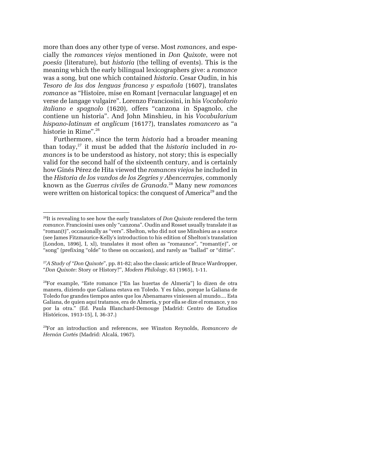more than does any other type of verse. Most *romances*, and especially the *romances viejos* mentioned in *Don Quixote*, were not *poesía* (literature), but *historia* (the telling of events). This is the meaning which the early bilingual lexicographers give: a *romance* was a song, but one which contained *historia*. Cesar Oudin, in his *Tesoro de las dos lenguas francesa y española* (1607), translates *romance* as "Histoire, mise en Romant [vernacular language] et en verse de langage vulgaire". Lorenzo Franciosini, in his *Vocabolario italiano e spagnolo* (1620), offers "canzona in Spagnolo, che contiene un historia". And John Minshieu, in his *Vocabularium hispano-latinum et anglicum* (1617?), translates *romancero* as "a historie in Rime".<sup>26</sup>

Furthermore, since the term *historia* had a broader meaning than today,<sup>27</sup> it must be added that the *historia* included in *romances* is to be understood as history, not story; this is especially valid for the second half of the sixteenth century, and is certainly how Ginés Pérez de Hita viewed the *romances viejos* he included in the *Historia de los vandos de los Zegríes y Abencerrajes*, commonly known as the *Guerras civiles de Granada*. [28](#page-8-2) Many new *romances* were written on historical topics: the conquest of America<sup>29</sup> and the

<span id="page-8-0"></span><sup>26</sup>It is revealing to see how the early translators of *Don Quixote* rendered the term *romance*. Franciosini uses only "canzona". Oudin and Rosset usually translate it as "roman(t)", occasionally as "vers". Shelton, who did not use Minshieu as a source (see James Fitzmaurice-Kelly's introduction to his edition of Shelton's translation [London, 1896], I, xl), translates it most often as "romaunce", "romant(e)", or "song" (prefixing "olde" to these on occasion), and rarely as "ballad" or "dittie".

<span id="page-8-1"></span><sup>27</sup>*A Study of "Don Quixote*", pp. 81-82; also the classic article of Bruce Wardropper, "*Don Quixote*: Story or History?", *Modern Philology*, 63 (1965), 1-11.

<span id="page-8-2"></span><sup>28</sup>For example, "Este romance ["En las huertas de Almería"] lo dizen de otra manera, diziendo que Galiana estava en Toledo. Y es falso, porque la Galiana de Toledo fue grandes tiempos antes que los Abenamares viniessen al mundo.... Esta Galiana, de quien aquí tratamos, era de Almería, y por ella se dize el romance, y no por la otra." (Ed. Paula Blanchard-Demouge [Madrid: Centro de Estudios Históricos, 1913-15], I, 36-37.)

<span id="page-8-3"></span><sup>29</sup>For an introduction and references, see Winston Reynolds, *Romancero de Hernán Cortés* (Madrid: Alcalá, 1967).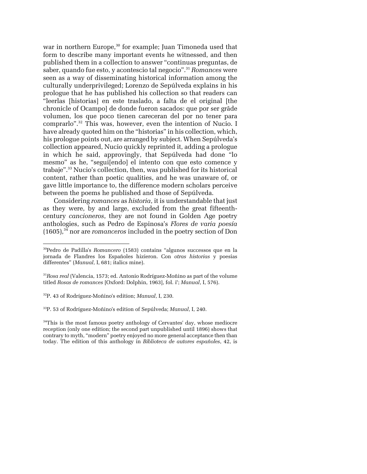<span id="page-9-4"></span>war in northern Europe,<sup>30</sup> for example; Juan Timoneda used that form to describe many important events he witnessed, and then published them in a collection to answer "continuas preguntas, de saber, quando fue esto, y acontescio tal negocio"[.31](#page-9-1) *Romances* were seen as a way of disseminating historical information among the culturally underprivileged; Lorenzo de Sepúlveda explains in his prologue that he has published his collection so that readers can "leerlas [historias] en este traslado, a falta de el original [the chronicle of Ocampo] de donde fueron sacados: que por ser grãde volumen, los que poco tienen careceran del por no tener para comprarlo".[32](#page-9-2) This was, however, even the intention of Nucio. I have already quoted him on the "historias" in his collection, which, his prologue points out, are arranged by subject. When Sepúlveda's collection appeared, Nucio quickly reprinted it, adding a prologue in which he said, approvingly, that Sepúlveda had done "lo mesmo" as he, "segui[endo] el intento con que esto comence y trabaje"[.33](#page-9-3) Nucio's collection, then, was published for its historical content, rather than poetic qualities, and he was unaware of, or gave little importance to, the difference modern scholars perceive between the poems he published and those of Sepúlveda.

Considering *romances* as *historia*, it is understandable that just as they were, by and large, excluded from the great fifteenthcentury *cancioneros*, they are not found in Golden Age poetry anthologies, such as Pedro de Espinosa's *Flores de varia poesía* (1605)[,34](#page-9-4) nor are *romanceros* included in the poetry section of Don

-

<span id="page-9-3"></span>33P. 53 of Rodríguez-Moñino's edition of Sepúlveda; *Manual*, I, 240.

<span id="page-9-0"></span><sup>30</sup>Pedro de Padilla's *Romancero* (1583) contains "algunos successos que en la jornada de Flandres los Españoles hizieron. Con *otras historias* y poesias differentes" (*Manual*, I, 681; italics mine).

<span id="page-9-1"></span><sup>31</sup>*Rosa real* (Valencia, 1573; ed. Antonio Rodríguez-Moñino as part of the volume titled *Rosas de romances* [Oxford: Dolphin, 1963], fol. ir ; *Manual*, I, 576).

<span id="page-9-2"></span><sup>32</sup>P. 43 of Rodríguez-Moñino's edition; *Manual*, I, 230.

 $34$ This is the most famous poetry anthology of Cervantes' day, whose mediocre reception (only one edition; the second part unpublished until 1896) shows that contrary to myth, "modern" poetry enjoyed no more general acceptance then than today. The edition of this anthology in *Biblioteca de autores españoles*, 42, is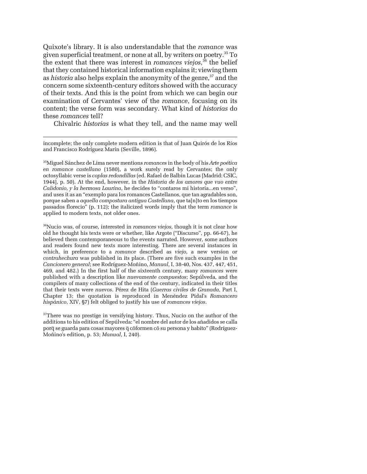Quixote's library. It is also understandable that the *romance* was given superficial treatment, or none at all, by writers on poetry.[35 T](#page-10-0)o the extent that there was interest in *romances viejos*, [36](#page-10-1) the belief that they contained historical information explains it; viewing them as *historia* also helps explain the anonymity of the genre,<sup>37</sup> and the concern some sixteenth-century editors showed with the accuracy of their texts. And this is the point from which we can begin our examination of Cervantes' view of the *romance*, focusing on its content; the verse form was secondary. What kind of *historias* do these *romances* tell?

Chivalric *historias* is what they tell, and the name may well

-

<span id="page-10-0"></span>35Miguel Sánchez de Lima never mentions *romances* in the body of his *Arte poética en romance castellano* (1580), a work surely read by Cervantes; the only octosyllabic verse is *coplas redondillas* (ed. Rafael de Balbín Lucas [Madrid: CSIC, 1944], p. 50). At the end, however, in the *Historia de los amores que vuo entre Calidonio, y la hermosa Laurina*, he decides to "contaros mi historia...en verso", and uses it as an "exemplo para los romances Castellanos, que tan agradables son, porque saben a *aquella compostura antigua Castellana*, que ta[n]to en los tiempos passados florecio" (p. 112); the italicized words imply that the term *romance* is applied to modern texts, not older ones.

<span id="page-10-1"></span>36Nucio was, of course, interested in *romances viejos*, though it is not clear how old he thought his texts were or whether, like Argote ("Discurso", pp. 66-67), he believed them contemporaneous to the events narrated. However, some authors and readers found new texts more interesting. There are several instances in which, in preference to a *romance* described as *viejo*, a new version or *contrahechura* was published in its place. (There are five such examples in the *Cancionero general*; see Rodríguez-Moñino, *Manual*, I, 38-40, Nos. 437, 447, 451, 469, and 482.) In the first half of the sixteenth century, many *romances* were published with a description like *nuevamente compuestos*; Sepúlveda, and the compilers of many collections of the end of the century, indicated in their titles that their texts were *nuevos*. Pérez de Hita (*Guerras civiles de Granada*, Part I, Chapter 13; the quotation is reproduced in Menéndez Pidal's *Romancero hispánico*, XIV, §7) felt obliged to justify his use of *romances viejos*.

<span id="page-10-2"></span><sup>37</sup>There was no prestige in versifying history. Thus, Nucio on the author of the additions to his edition of Sepúlveda: "el nombre del autor de los añadidos se calla porq̃ se guarda para cosas mayores q̃ cõformen cõ su persona y habito" (Rodríguez-Moñino's edition, p. 53; *Manual*, I, 240).

incomplete; the only complete modern edition is that of Juan Quirós de los Ríos and Francisco Rodríguez Marín (Seville, 1896).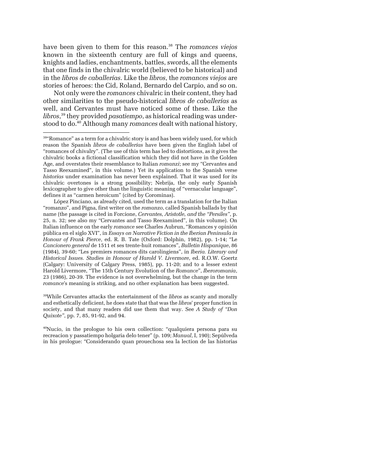<span id="page-11-2"></span>have been given to them for this reason.[38](#page-11-0) The *romances viejos* known in the sixteenth century are full of kings and queens, knights and ladies, enchantments, battles, swords, all the elements that one finds in the chivalric world (believed to be historical) and in the *libros de caballerías*. Like the *libros*, the *romances viejos* are stories of heroes: the Cid, Roland, Bernardo del Carpio, and so on.

Not only were the *romances* chivalric in their content, they had other similarities to the pseudo-historical *libros de caballerías* as well, and Cervantes must have noticed some of these. Like the *libros*, [39](#page-11-1) they provided *pasatiempo*, as historical reading was understood to do[.40](#page-11-2) Although many *romances* dealt with national history,

-

<span id="page-11-1"></span>39While Cervantes attacks the entertainment of the *libros* as scanty and morally and esthetically deficient, he does state that that was the *libros*' proper function in society, and that many readers did use them that way. See *A Study of "Don Quixote"*, pp. 7, 85, 91-92, and 94.

40Nucio, in the prologue to his own collection: "qualquiera persona para su recreacion y passatiempo holgaria delo tener" (p. 109; *Manual*, I, 190); Sepúlveda in his prologue: "Considerando quan prouechosa sea la lection de las historias

<span id="page-11-0"></span><sup>&</sup>lt;sup>38</sup>"Romance" as a term for a chivalric story is and has been widely used, for which reason the Spanish *libros de caballerías* have been given the English label of "romances of chivalry". (The use of this term has led to distortions, as it gives the chivalric books a fictional classification which they did not have in the Golden Age, and overstates their resemblance to Italian *romanzi*; see my "Cervantes and Tasso Reexamined", in this volume.) Yet its application to the Spanish verse *historias* under examination has never been explained. That it was used for its chivalric overtones is a strong possibility; Nebrija, the only early Spanish lexicographer to give other than the linguistic meaning of "vernacular language", defines it as "carmen heroicum" (cited by Corominas).

López Pinciano, as already cited, used the term as a translation for the Italian "romanzo", and Pigna, first writer on the *romanzo*, called Spanish ballads by that name (the passage is cited in Forcione, *Cervantes, Aristotle, and the "Persiles"*, p. 25, n. 32; see also my "Cervantes and Tasso Reexamined", in this volume). On Italian influence on the early *romance* see Charles Aubrun, "Romances y opinión pública en el siglo XVI", in *Essays on Narrative Fiction in the Iberian Peninsula in Honour of Frank Pierce*, ed. R. B. Tate (Oxford: Dolphin, 1982), pp. 1-14; "Le *Cancionero general* de 1511 et ses trente-huit romances", *Bulletin Hispanique*, 86 (1984), 39-60; "Les premiers romances dits carolingiens", in *Iberia. Literary and Historical Issues. Studies in Honour of Harold V. Livermore*, ed. R.O.W. Goertz (Calgary: University of Calgary Press, 1985), pp. 11-20; and to a lesser extent Harold Livermore, "The 15th Century Evolution of the *Romance*", *Iberoromania*, 23 (1986), 20-39. The evidence is not overwhelming, but the change in the term *romance*'s meaning is striking, and no other explanation has been suggested.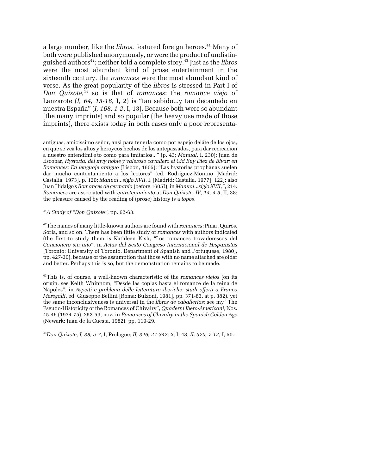a large number, like the *libros*, featured foreign heroes.<sup>41</sup> Many of both were published anonymously, or were the product of undistinguished authors<sup>42</sup>; neither told a complete story.<sup>43</sup> Just as the *libros* were the most abundant kind of prose entertainment in the sixteenth century, the *romances* were the most abundant kind of verse. As the great popularity of the *libros* is stressed in Part I of *Don Quixote*, [44](#page-12-3) so is that of *romances*: the *romance viejo* of Lanzarote (*I, 64, 15-16*, I, 2) is "tan sabido...y tan decantado en nuestra España" (*I, 168, 1-2*, I, 13). Because both were so abundant (the many imprints) and so popular (the heavy use made of those imprints), there exists today in both cases only a poor representa-

antiguas, amicissimo señor, ansi para tenerla como por espejo delãte de los ojos, en que se veã los altos y heroycos hechos de los antepassados, para dar recreacion a nuestro entendimi~e to como para imitarlos..." (p. 43; *Manual*, I, 230); Juan de Escobar, *Hystoria, del mvy noble y valeroso cavallero el Cid Ruy Diez de Bivar: en Romances: En lenguaje antiguo* (Lisbon, 1605): "Las hystorias prophanas suelen dar mucho contentamiento a los lectores" (ed. Rodríguez-Moñino [Madrid: Castalia, 1973], p. 120; *Manual*...*siglo XVII*, I, [Madrid: Castalia, 1977], 122); also Juan Hidalgo's *Romances de germania* (before 1605?), in *Manual*...*siglo XVII*, I, 214. *Romances* are associated with *entretenimiento* at *Don Quixote, IV, 14, 4-5*, II, 38; the pleasure caused by the reading of (prose) history is a *topos*.

<span id="page-12-0"></span><sup>41</sup>*A Study of "Don Quixote"*, pp. 62-63.

<span id="page-12-1"></span>42The names of many little-known authors are found with *romances*: Pinar, Quirós, Soria, and so on. There has been little study of *romances* with authors indicated (the first to study them is Kathleen Kish, "Los romances trovadorescos del *Cancionero sin año*", in *Actas del Sexto Congreso Internacional de Hispanistas* [Toronto: University of Toronto, Department of Spanish and Portuguese, 1980], pp. 427-30), because of the assumption that those with no name attached are older and better. Perhaps this is so, but the demonstration remains to be made.

<span id="page-12-2"></span>43This is, of course, a well-known characteristic of the *romances viejos* (on its origin, see Keith Whinnom, "Desde las coplas hasta el romance de la reina de Nápoles", in *Aspetti e problemi delle letteratura iberiche: studi offerti a Franco Meregalli*, ed. Giuseppe Bellini [Roma: Bulzoni, 1981], pp. 371-83, at p. 382), yet the same inconclusiveness is universal in the *libros de caballerías*; see my "The Pseudo-Historicity of the Romances of Chivalry", *Quaderni Ibero-Americani*, Nos. 45-46 (1974-75), 253-59, now in *Romances of Chivalry in the Spanish Golden Age* (Newark: Juan de la Cuesta, 1982), pp. 119-29.

<span id="page-12-3"></span>44*Don Quixote, I, 38, 5-7*, I, Prologue; *II, 346, 27-347, 2*, I, 48; *II, 370, 7-12*, I, 50.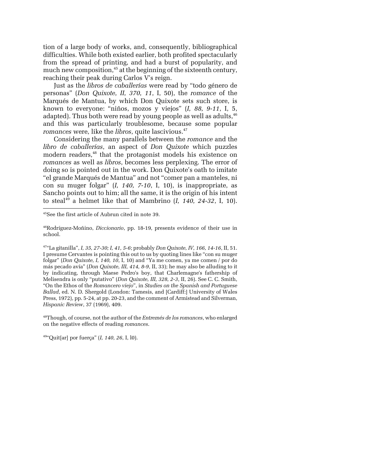tion of a large body of works, and, consequently, bibliographical difficulties. While both existed earlier, both profited spectacularly from the spread of printing, and had a burst of popularity, and much new composition,<sup>45</sup> at the beginning of the sixteenth century, reaching their peak during Carlos V's reign.

Just as the *libros de caballerías* were read by "todo género de personas" (*Don Quixote, II, 370, 11*, I, 50), the *romance* of the Marqués de Mantua, by which Don Quixote sets such store, is known to everyone: "niños, mozos y viejos" (*I, 88, 9-11*, I, 5, adapted). Thus both were read by young people as well as adults,  $46$ and this was particularly troublesome, because some popular *romances* were, like the *libros*, quite lascivious.<sup>[47](#page-13-2)</sup>

Considering the many parallels between the *romance* and the *libro de caballerías*, an aspect of *Don Quixote* which puzzles modern readers,<sup>48</sup> that the protagonist models his existence on *romances* as well as *libros*, becomes less perplexing. The error of doing so is pointed out in the work. Don Quixote's oath to imitate "el grande Marqués de Mantua" and not "comer pan a manteles, ni con su muger folgar" (*I, 140, 7-10*, I, 10), is inappropriate, as Sancho points out to him; all the same, it is the origin of his intent to steal<sup>49</sup> a helmet like that of Mambrino  $(I, 140, 24-32, I, 10)$ .

-

<span id="page-13-3"></span>48Though, of course, not the author of the *Entremés de los romances*, who enlarged on the negative effects of reading *romances*.

<span id="page-13-4"></span>49"Quit[ar] por fuerça" (*I, 140, 26*, I, l0).

<span id="page-13-0"></span><sup>45</sup>See the first article of Aubrun cited in note 39.

<span id="page-13-1"></span><sup>46</sup>Rodríguez-Moñino, *Diccionario*, pp. 18-19, presents evidence of their use in school.

<span id="page-13-2"></span><sup>47&</sup>quot;La gitanilla", *I, 35, 27-30; I, 41, 5-6*; probably *Don Quixote, IV, 166, 14-16*, II, 51. I presume Cervantes is pointing this out to us by quoting lines like "con su muger folgar" (*Don Quixote, I, 140, 10*, I, 10) and "Ya me comen, ya me comen / por do más pecado avía" (*Don Quixote, III, 414, 8-9*, II, 33); he may also be alluding to it by indicating, through Maese Pedro's boy, that Charlemagne's fathership of Melisendra is only "putativo" (*Don Quixote, III, 328, 2-3*, II, 26). See C. C. Smith, "On the Ethos of the *Romancero viejo*", in *Studies on the Spanish and Portuguese Ballad*, ed. N. D. Shergold (London: Tamesis, and [Cardiff:] University of Wales Press, 1972), pp. 5-24, at pp. 20-23, and the comment of Armistead and Silverman, *Hispanic Review*, 37 (1969), 409.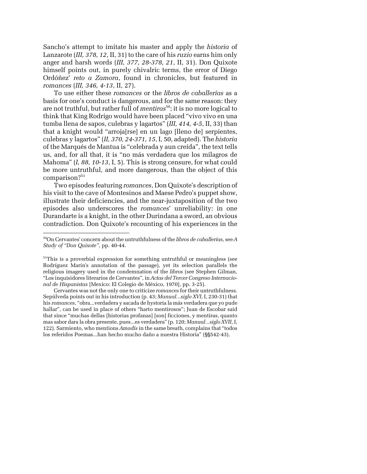Sancho's attempt to imitate his master and apply the *historia* of Lanzarote (*III, 378, 12*, II, 31) to the care of his *ruzio* earns him only anger and harsh words (*III, 377, 28-378, 21*, II, 31). Don Quixote himself points out, in purely chivalric terms, the error of Diego Ordóñez' *reto a Zamora*, found in chronicles, but featured in *romances* (*III, 346, 4-13*, II, 27).

To use either these *romances* or the *libros de caballerías* as a basis for one's conduct is dangerous, and for the same reason: they are not truthful, but rather full of *mentiras*<sup>50</sup>; it is no more logical to think that King Rodrigo would have been placed "vivo vivo en una tumba llena de sapos, culebras y lagartos" (*III, 414, 4-5*, II, 33) than that a knight would "arroja[rse] en un lago [lleno de] serpientes, culebras y lagartos" (*II, 370, 24-371, 15*, I, 50, adapted). The *historia* of the Marqués de Mantua is "celebrada y aun creída", the text tells us, and, for all that, it is "no más verdadera que los milagros de Mahoma" (*I, 88, 10-13*, I, 5). This is strong censure, for what could be more untruthful, and more dangerous, than the object of this comparison?<sup>[51](#page-14-1)</sup>

Two episodes featuring *romances*, Don Quixote's description of his visit to the cave of Montesinos and Maese Pedro's puppet show, illustrate their deficiencies, and the near-juxtaposition of the two episodes also underscores the *romances*' unreliability: in one Durandarte is a knight, in the other Durindana a sword, an obvious contradiction. Don Quixote's recounting of his experiences in the

<span id="page-14-0"></span><sup>50</sup>On Cervantes' concern about the untruthfulness of the *libros de caballerías*, see *A Study of "Don Quixote"*, pp. 40-44.

<span id="page-14-1"></span><sup>&</sup>lt;sup>51</sup>This is a proverbial expression for something untruthful or meaningless (see Rodríguez Marín's annotation of the passage), yet its selection parallels the religious imagery used in the condemnation of the *libros* (see Stephen Gilman, "Los inquisidores literarios de Cervantes", in *Actas del Tercer Congreso Internacional de Hispanistas* [Mexico: El Colegio de México, 1970], pp. 3-25).

Cervantes was not the only one to criticize *romances* for their untruthfulness. Sepúlveda points out in his introduction (p. 43; *Manual...siglo XVI*, I, 230-31) that his *romances*, "obra...verdadera y sacada de hystoria la más verdadera que yo pude hallar", can be used in place of others "harto mentirosos"; Juan de Escobar said that since "muchas dellas [historias profanas] [son] ficciones, y mentiras, quanto mas sabor dara la obra presente, pues...es verdadera" (p. 120; *Manual...siglo XVII*, I, 122). Sarmiento, who mentions *Amadís* in the same breath, complains that "todos los referidos Poemas...han hecho mucho daño a nuestra Historia" (§§542-43).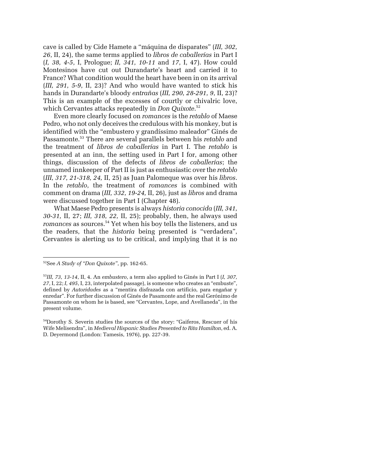cave is called by Cide Hamete a "máquina de disparates" (*III, 302, 26*, II, 24), the same terms applied to *libros de caballerías* in Part I (*I, 38, 4-5*, I, Prologue; *II, 341, 10-11* and *17*, I, 47). How could Montesinos have cut out Durandarte's heart and carried it to France? What condition would the heart have been in on its arrival (*III, 291, 5-9*, II, 23)? And who would have wanted to stick his hands in Durandarte's bloody *entrañas* (*III, 290, 28-291, 9*, II, 23)? This is an example of the excesses of courtly or chivalric love, which Cervantes attacks repeatedly in *Don Quixote*. [52](#page-15-0)

Even more clearly focused on *romances* is the *retablo* of Maese Pedro, who not only deceives the credulous with his monkey, but is identified with the "embustero y grandíssimo maleador" Ginés de Passamonte[.53](#page-15-1) There are several parallels between his *retablo* and the treatment of *libros de caballerías* in Part I. The *retablo* is presented at an inn, the setting used in Part I for, among other things, discussion of the defects of *libros de caballerías*; the unnamed innkeeper of Part II is just as enthusiastic over the *retablo* (*III, 317, 21-318, 24,* II, 25) as Juan Palomeque was over his *libros*. In the *retablo*, the treatment of *romances* is combined with comment on drama (*III, 332, 19-24,* II, 26), just as *libros* and drama were discussed together in Part I (Chapter 48).

What Maese Pedro presents is always *historia conocida* (*III, 341, 30-31,* II, 27; *III, 318, 22,* II, 25); probably, then, he always used *romances* as sources.<sup>54</sup> Yet when his boy tells the listeners, and us the readers, that the *historia* being presented is "verdadera", Cervantes is alerting us to be critical, and implying that it is no

<span id="page-15-0"></span><sup>52</sup>See *A Study of "Don Quixote"*, pp. 162-65.

<span id="page-15-1"></span><sup>53</sup>*III, 73, 13-14*, II, 4. An *embustero*, a term also applied to Ginés in Part I (*I, 307, 27*, I, 22; *I, 495*, I, 23, interpolated passage), is someone who creates an "embuste", defined by *Autoridades* as a "mentira disfrazada con artificio, para engañar y enredar". For further discussion of Ginés de Pasamonte and the real Gerónimo de Passamonte on whom he is based, see "Cervantes, Lope, and Avellaneda", in the present volume.

<span id="page-15-2"></span><sup>54</sup>Dorothy S. Severin studies the sources of the story: "Gaiferos, Rescuer of his Wife Melisendra", in *Medieval Hispanic Studies Presented to Rita Hamilton*, ed. A. D. Deyermond (London: Tamesis, 1976), pp. 227-39.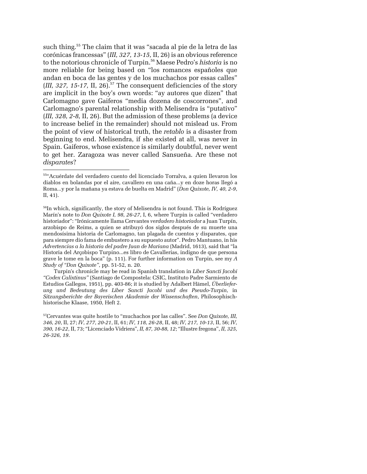such thing[.55](#page-16-0) The claim that it was "sacada al pie de la letra de las corónicas francessas" (*III, 327, 13-15,* II, 26) is an obvious reference to the notorious chronicle of Turpin[.56](#page-16-1) Maese Pedro's *historia* is no more reliable for being based on "los romances españoles que andan en boca de las gentes y de los muchachos por essas calles"  $(HI, 327, 15-17, II, 26)$ <sup>57</sup> The consequent deficiencies of the story are implicit in the boy's own words: "ay autores que dizen" that Carlomagno gave Gaiferos "media dozena de coscorrones", and Carlomagno's parental relationship with Melisendra is "putativo" (*III, 328, 2-8,* II, 26). But the admission of these problems (a device to increase belief in the remainder) should not mislead us. From the point of view of historical truth, the *retablo* is a disaster from beginning to end. Melisendra, if she existed at all, was never in Spain. Gaiferos, whose existence is similarly doubtful, never went to get her. Zaragoza was never called Sansueña. Are these not *disparates*?

<span id="page-16-0"></span><sup>55&</sup>quot;Acuérdate del verdadero cuento del licenciado Torralva, a quien llevaron los diablos en bolandas por el aire, cavallero en una caña...y en doze horas llegó a Roma...y por la mañana ya estava de buelta en Madrid" (*Don Quixote, IV, 40, 2-9*, II, 41).

<span id="page-16-1"></span> $<sup>56</sup>$ In which, significantly, the story of Melisendra is not found. This is Rodríguez</sup> Marín's note to *Don Quixote I, 98, 26-27*, I, 6, where Turpin is called "verdadero historiador": "Irónicamente llama Cervantes *verdadero historiador* a Juan Turpín, arzobispo de Reims, a quien se atribuyó dos siglos después de su muerte una mendosísima historia de Carlomagno, tan plagada de cuentos y disparates, que para siempre dio fama de embustero a su supuesto autor". Pedro Mantuano, in his *Advertencias a la historia del padre Juan de Mariana* (Madrid, 1613), said that "la Historia del Arçobispo Turpino...es libro de Cavallerias, indigno de que persona grave le tome en la boca" (p. 111). For further information on Turpin, see my *A Study of "Don Quixote"*, pp. 51-52, n. 20.

Turpin's chronicle may be read in Spanish translation in *Liber Sancti Jacobi "Codex Calixtinus"* (Santiago de Compostela: CSIC, Instituto Padre Sarmiento de Estudios Gallegos, 1951), pp. 403-86; it is studied by Adalbert Hämel, *Überlieferung und Bedeutung des Liber Sancti Jacobi und des Pseudo-Turpin*, in *Sitzungsberichte der Bayerischen Akademie der Wissenschaften*, Philosophischhistorische Klaase, 1950, Heft 2.

<span id="page-16-2"></span><sup>57</sup>Cervantes was quite hostile to "muchachos por las calles". See *Don Quixote, III, 346, 20*, II, 27; *IV, 277, 20-21*, II, 61; *IV, 118, 26-28*, II, 48; *IV, 217, 10-13*, II, 56; *IV, 390, 16-22*, II, 73; "Licenciado Vidriera", *II, 87, 30-88, 12*; "Illustre fregona", *II, 325, 26-326, 19*.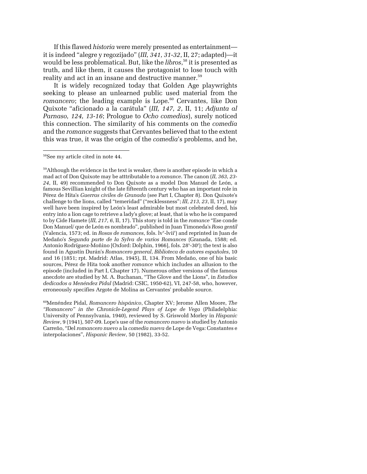If this flawed *historia* were merely presented as entertainment it is indeed "alegre y regozijado" (*III, 341, 31-32*, II, 27; adapted)—it would be less problematical. But, like the *libros*, [58](#page-17-0) it is presented as truth, and like them, it causes the protagonist to lose touch with reality and act in an insane and destructive manner.<sup>59</sup>

It is widely recognized today that Golden Age playwrights seeking to please an unlearned public used material from the *romancero*; the leading example is Lope.<sup>60</sup> Cervantes, like Don Quixote "aficionado a la carátula" (*III, 147, 2*, II, 11; *Adjunta al Parnaso, 124, 13-16*; Prologue to *Ocho comedias*), surely noticed this connection. The similarity of his comments on the *comedia* and the *romance* suggests that Cervantes believed that to the extent this was true, it was the origin of the *comedia*'s problems, and he,

-

<span id="page-17-2"></span>60Menéndez Pidal, *Romancero hispánico*, Chapter XV; Jerome Allen Moore, *The "Romancero" in the Chronicle-Legend Plays of Lope de Vega* (Philadelphia: University of Pennsylvania, 1940), reviewed by S. Griswold Morley in *Hispanic Review*, 9 (1941), 507-09. Lope's use of the *romancero nuevo* is studied by Antonio Carreño, "Del *romancero nuevo* a la *comedia nueva* de Lope de Vega: Constantes e interpolaciones", *Hispanic Review*, 50 (1982), 33-52.

<span id="page-17-0"></span><sup>58</sup>See my article cited in note 44.

<span id="page-17-1"></span><sup>&</sup>lt;sup>59</sup>Although the evidence in the text is weaker, there is another episode in which a mad act of Don Quixote may be atttributable to a *romance*. The canon (*II, 363, 23- 24*, II, 49) recommended to Don Quixote as a model Don Manuel de León, a famous Sevillian knight of the late fifteenth century who has an important role in Pérez de Hita's *Guerras civiles de Granada* (see Part I, Chapter 8). Don Quixote's challenge to the lions, called "temeridad" ("recklessness"; *III, 213, 23*, II, 17), may well have been inspired by León's least admirable but most celebrated deed, his entry into a lion cage to retrieve a lady's glove; at least, that is who he is compared to by Cide Hamete (*III, 217, 6*, II, 17). This story is told in the *romance* "Ese conde Don Manuel/ que de León es nombrado", published in Juan Timoneda's *Rosa gentil* (Valencia, 1573; ed. in *Rosas de romances*, fols. lv<sup>v</sup>-lvii<sup>r</sup>) and reprinted in Juan de Medaño's *Segunda parte de la Sylva de varios Romances* (Granada, 1588; ed. Antonio Rodríguez-Moñino [Oxford: Dolphin, 1966], fols. 28<sup>v</sup>-30<sup>r</sup>); the text is also found in Agustín Durán's *Romancero general*, *Biblioteca de autores españoles*, 10 and 16 (1851; rpt. Madrid: Atlas, 1945), II, 134. From Medaño, one of his basic sources, Pérez de Hita took another *romance* which includes an allusion to the episode (included in Part I, Chapter 17). Numerous other versions of the famous anecdote are studied by M. A. Buchanan, "The Glove and the Lions", in *Estudios dedicados a Menéndez Pidal* (Madrid: CSIC, 1950-62), VI, 247-58, who, however, erroneously specifies Argote de Molina as Cervantes' probable source.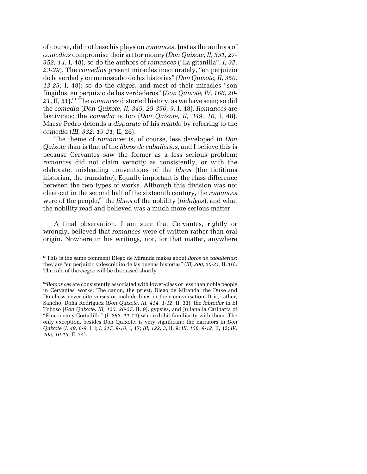of course, did not base his plays on *romances*. Just as the authors of *comedias* compromise their art for money (*Don Quixote, II, 351, 27- 352, 14*, I, 48), so do the authors of *romances* ("La gitanilla", *I, 32, 23-29*). The *comedias* present miracles inaccurately, "en perjuizio de la verdad y en menoscabo de las historias" (*Don Quixote, II, 350, 13-23*, I, 48); so do the *ciegos*, and most of their miracles "son fingidos, en perjuizio de los verdaderos" (*Don Quixote, IV, 166, 20-* 21, II, 51).<sup>61</sup> The *romances* distorted history, as we have seen; so did the *comedia* (*Don Quixote, II, 349, 29-350, 9*, I, 48). *Romances* are lascivious; the *comedia* is too (*Don Quixote, II, 349, 10*, I, 48). Maese Pedro defends a *disparate* of his *retablo* by referring to the *comedia* (*III, 332, 19-21*, II, 26).

The theme of *romances* is, of course, less developed in *Don Quixote* than is that of the *libros de caballerías*, and I believe this is because Cervantes saw the former as a less serious problem; *romances* did not claim veracity as consistently, or with the elaborate, misleading conventions of the *libros* (the fictitious historian, the translator). Equally important is the class difference between the two types of works. Although this division was not clear-cut in the second half of the sixteenth century, the *romances* were of the people,<sup>62</sup> the *libros* of the nobility (*hidalgos*), and what the nobility read and believed was a much more serious matter.

A final observation. I am sure that Cervantes, rightly or wrongly, believed that *romances* were of written rather than oral origin. Nowhere in his writings, nor, for that matter, anywhere

<span id="page-18-0"></span><sup>61</sup>This is the same comment Diego de Miranda makes about *libros de caballerías*: they are "en perjuizio y descrédito de las buenas historias" (*III, 200, 20-21*, II, 16). The role of the *ciegos* will be discussed shortly.

<span id="page-18-1"></span><sup>&</sup>lt;sup>62</sup>*Romances* are consistently associated with lower-class or less than noble people in Cervantes' works. The canon, the priest, Diego de Miranda, the Duke and Dutchess never cite verses or include lines in their conversation. It is, rather, Sancho, Doña Rodríguez (*Don Quixote, III, 414, 1-12*, II, 33), the *labrador* in El Toboso (*Don Quixote, III, 125, 26-27*, II, 9), gypsies, and Juliana la Cariharta of "Rinconete y Cortadillo" (*I, 282, 11-12*) who exhibit familiarity with them. The only exception, besides Don Quixote, is very significant: the narrators in *Don Quixote* (*I, 49, 8-9*, I, l; *I, 217, 9-10*, I, 17; *III, 122, 3*, II, 9; *III, 156, 9-12*, II, 12; *IV, 405, 10-13*, II, 74).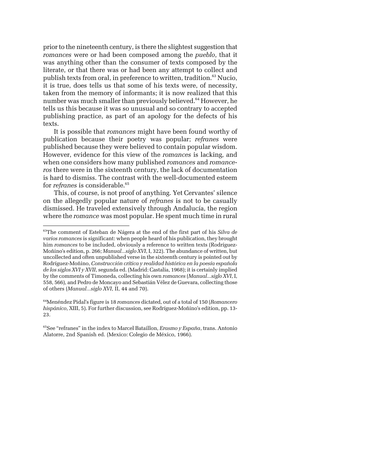prior to the nineteenth century, is there the slightest suggestion that *romances* were or had been composed among the *pueblo*, that it was anything other than the consumer of texts composed by the literate, or that there was or had been any attempt to collect and publish texts from oral, in preference to written, tradition.[63](#page-19-0) Nucio, it is true, does tells us that some of his texts were, of necessity, taken from the memory of informants; it is now realized that this number was much smaller than previously believed.<sup>64</sup> However, he tells us this because it was so unusual and so contrary to accepted publishing practice, as part of an apology for the defects of his texts.

It is possible that *romances* might have been found worthy of publication because their poetry was popular; *refranes* were published because they were believed to contain popular wisdom. However, evidence for this view of the *romances* is lacking, and when one considers how many published *romances* and *romanceros* there were in the sixteenth century, the lack of documentation is hard to dismiss. The contrast with the well-documented esteem for *refranes* is considerable.<sup>[65](#page-19-2)</sup>

This, of course, is not proof of anything. Yet Cervantes' silence on the allegedly popular nature of *refranes* is not to be casually dismissed. He traveled extensively through Andalucía, the region where the *romance* was most popular. He spent much time in rural

<span id="page-19-0"></span><sup>-</sup>63The comment of Esteban de Nágera at the end of the first part of his *Silva de varios romances* is significant: when people heard of his publication, they brought him *romances* to be included, obviously a reference to written texts (Rodríguez-Moñino's edition, p. 266; *Manual...siglo XVI*, I, 322). The abundance of written, but uncollected and often unpublished verse in the sixteenth century is pointed out by Rodríguez-Moñino, *Construcción crítica y realidad histórica en la poesía española de los siglos XVI y XVII*, segunda ed. (Madrid: Castalia, 1968); it is certainly implied by the comments of Timoneda, collecting his own *romances* (*Manual...siglo XVI*, I, 558, 566), and Pedro de Moncayo and Sebastián Vélez de Guevara, collecting those of others (*Manual...siglo XVI*, II, 44 and 70).

<span id="page-19-1"></span><sup>64</sup>Menéndez Pidal's figure is 18 *romances* dictated, out of a total of 150 (*Romancero hispánico*, XIII, 5). For further discussion, see Rodríguez-Moñino's edition, pp. 13- 23.

<span id="page-19-2"></span><sup>65</sup>See "refranes" in the index to Marcel Bataillon, *Erasmo y España*, trans. Antonio Alatorre, 2nd Spanish ed. (Mexico: Colegio de México, 1966).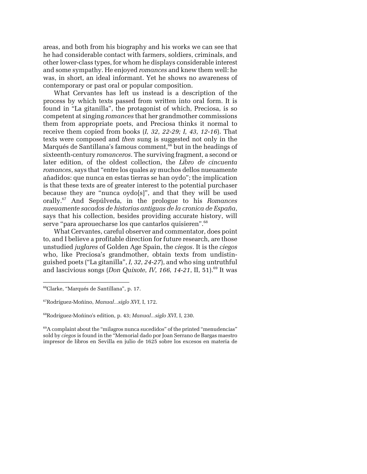<span id="page-20-3"></span>areas, and both from his biography and his works we can see that he had considerable contact with farmers, soldiers, criminals, and other lower-class types, for whom he displays considerable interest and some sympathy. He enjoyed *romances* and knew them well: he was, in short, an ideal informant. Yet he shows no awareness of contemporary or past oral or popular composition.

What Cervantes has left us instead is a description of the process by which texts passed from written into oral form. It is found in "La gitanilla", the protagonist of which, Preciosa, is so competent at singing *romances* that her grandmother commissions them from appropriate poets, and Preciosa thinks it normal to receive them copied from books (*I, 32, 22-29; I, 43, 12-16*). That texts were composed and *then* sung is suggested not only in the Marqués de Santillana's famous comment,<sup>66</sup> but in the headings of sixteenth-century *romanceros*. The surviving fragment, a second or later edition, of the oldest collection, the *Libro de cincuenta romances*, says that "entre los quales ay muchos dellos nueuamente añadidos: que nunca en estas tierras se han oydo"; the implication is that these texts are of greater interest to the potential purchaser because they are "nunca oydo[s]", and that they will be used orally.[67](#page-20-1) And Sepúlveda, in the prologue to his *Romances nueuamente sacados de historias antiguas de la cronica de España*, says that his collection, besides providing accurate history, will serve "para aprouecharse los que cantarlos quisieren".<sup>[68](#page-20-2)</sup>

What Cervantes, careful observer and commentator, does point to, and I believe a profitable direction for future research, are those unstudied *juglares* of Golden Age Spain, the *ciegos*. It is the *ciegos* who, like Preciosa's grandmother, obtain texts from undistinguished poets ("La gitanilla", *I, 32, 24-27*), and who sing untruthful and lascivious songs (*Don Quixote, IV, 166, 14-21*, II, 51).<sup>69</sup> It was

<span id="page-20-0"></span><sup>66</sup>Clarke, "Marqués de Santillana", p. 17.

<span id="page-20-1"></span><sup>67</sup>Rodríguez-Moñino, *Manual...siglo XVI*, I, 172.

<span id="page-20-2"></span><sup>68</sup>Rodríguez-Moñino's edition, p. 43; *Manual...siglo XVI*, I, 230.

 $69A$  complaint about the "milagros nunca sucedidos" of the printed "menudencias" sold by *ciegos* is found in the "Memorial dado por Joan Serrano de Bargas maestro impresor de libros en Sevilla en julio de 1625 sobre los excesos en materia de